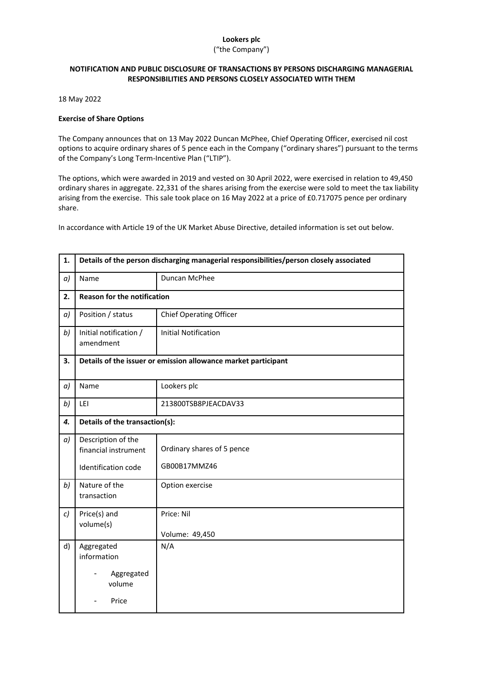# **Lookers plc**

### ("the Company")

## **NOTIFICATION AND PUBLIC DISCLOSURE OF TRANSACTIONS BY PERSONS DISCHARGING MANAGERIAL RESPONSIBILITIES AND PERSONS CLOSELY ASSOCIATED WITH THEM**

18 May 2022

### **Exercise of Share Options**

The Company announces that on 13 May 2022 Duncan McPhee, Chief Operating Officer, exercised nil cost options to acquire ordinary shares of 5 pence each in the Company ("ordinary shares") pursuant to the terms of the Company's Long Term-Incentive Plan ("LTIP").

The options, which were awarded in 2019 and vested on 30 April 2022, were exercised in relation to 49,450 ordinary shares in aggregate. 22,331 of the shares arising from the exercise were sold to meet the tax liability arising from the exercise. This sale took place on 16 May 2022 at a price of £0.717075 pence per ordinary share.

In accordance with Article 19 of the UK Market Abuse Directive, detailed information is set out below.

| 1. | Details of the person discharging managerial responsibilities/person closely associated |                                            |  |
|----|-----------------------------------------------------------------------------------------|--------------------------------------------|--|
| a) | Name                                                                                    | Duncan McPhee                              |  |
| 2. | <b>Reason for the notification</b>                                                      |                                            |  |
| a) | Position / status                                                                       | <b>Chief Operating Officer</b>             |  |
| b) | Initial notification /<br>amendment                                                     | <b>Initial Notification</b>                |  |
| 3. | Details of the issuer or emission allowance market participant                          |                                            |  |
| a) | Name                                                                                    | Lookers plc                                |  |
| b) | LEI                                                                                     | 213800TSB8PJEACDAV33                       |  |
| 4. | Details of the transaction(s):                                                          |                                            |  |
| a) | Description of the<br>financial instrument<br>Identification code                       | Ordinary shares of 5 pence<br>GB00B17MMZ46 |  |
| b) | Nature of the<br>transaction                                                            | Option exercise                            |  |
| c) | Price(s) and<br>volume(s)                                                               | Price: Nil<br>Volume: 49,450               |  |
| d) | Aggregated<br>information<br>Aggregated<br>volume<br>Price                              | N/A                                        |  |